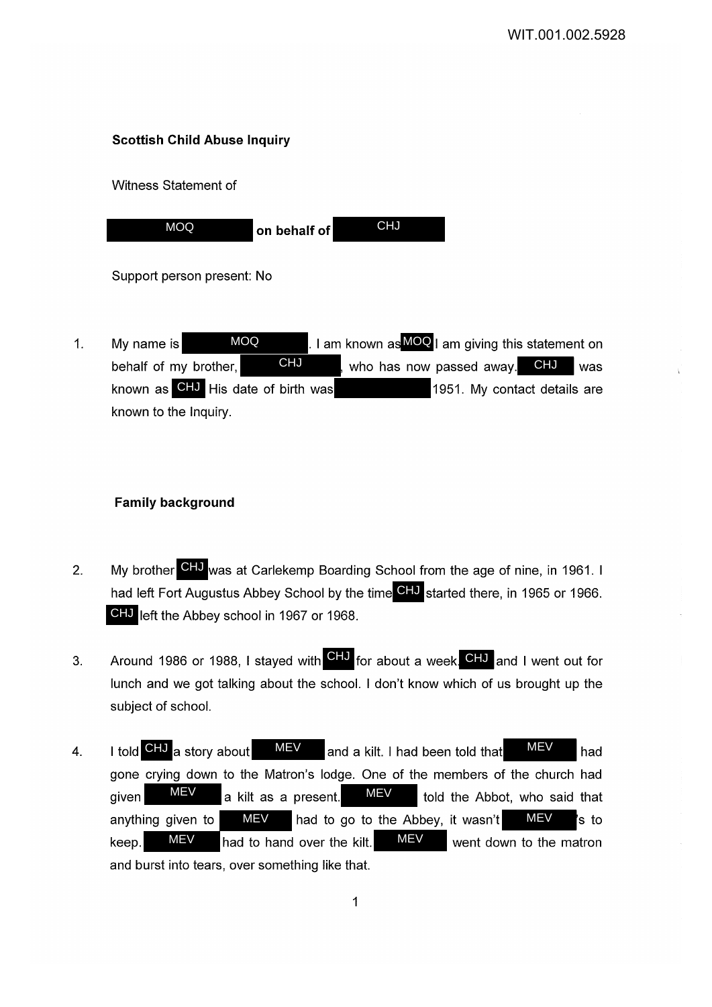# **Scottish Child Abuse Inquiry**

Witness Statement of

| <b>MOQ</b> | $ $ on behalf of $ $ | <b>CHJ</b> |
|------------|----------------------|------------|

Support person present: No

1. My name is **MOQ** NOMER LI am known as MOQ I am giving this statement on behalf of my brother, **CHJ** , who has now passed away. CHJ was known as CHJ His date of birth was **1951**. My contact details are known to the Inquiry. CHJ MOQ

## **Family background**

- 2. My brother CHJ was at Carlekemp Boarding School from the age of nine, in 1961. I had left Fort Augustus Abbey School by the time CHJ started there, in 1965 or 1966. **CHJ** left the Abbey school in 1967 or 1968.
- 3. Around 1986 or 1988, I stayed with CHJ for about a week. CHJ and I went out for lunch and we got talking about the school. I don't know which of us brought up the subject of school.
- 4. I told CHJ a story about MEV and a kilt. I had been told that MEV had gone crying down to the Matron's lodge. One of the members of the church had given  $\frac{M-V}{R}$  a kilt as a present.  $\frac{M-V}{R}$  told the Abbot, who said that anything given to  $M=V$  had to go to the Abbey, it wasn't  $M=V$  is to keep.  $MEV$  had to hand over the kilt.  $MEV$  went down to the matron and burst into tears, over something like that. MEV MEV MEV MEV MEV MEV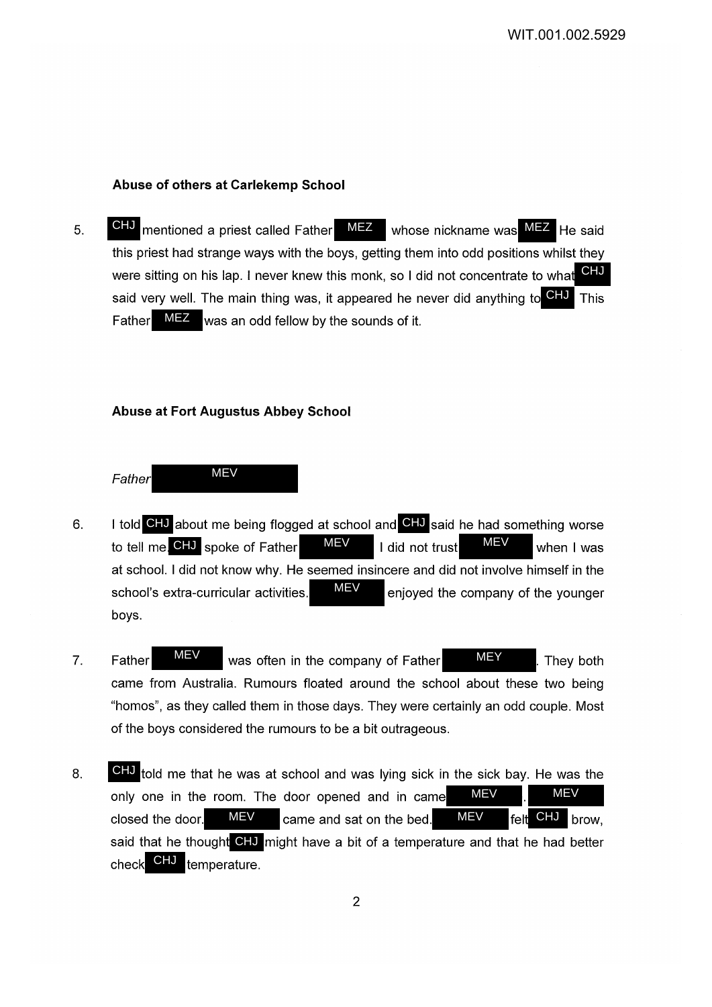#### **Abuse of others at Carlekemp School**

5. CHU mentioned a priest called Father MEZ whose nickname was MEZ He said this priest had strange ways with the boys, getting them into odd positions whilst they were sitting on his lap. I never knew this monk, so I did not concentrate to what said very well. The main thing was, it appeared he never did anything to **CHJ** This Father MEZ was an odd fellow by the sounds of it. MEZ CHJ CHJ

## **Abuse at Fort Augustus Abbey School**

**Father** 

**MEV** 

- 6. I told CHJ about me being flogged at school and CHJ said he had something worse to tell me. CHJ spoke of Father MEV I did not trust MEV when I was at school. I did not know why. He seemed insincere and did not involve himself in the school's extra-curricular activities.  $\frac{M}{N}$  enjoyed the company of the younger boys. MEV MEV
- 7. Father WEV was often in the company of Father MEY They both came from Australia. Rumours floated around the school about these two being "homos", as they called them in those days. They were certainly an odd couple. Most of the boys considered the rumours to be a bit outrageous. MEV MEY
- 8. CHJ told me that he was at school and was lying sick in the sick bay. He was the only one in the room. The door opened and in came closed the door.  $MEV$  came and sat on the bed.  $MEV$  felt said that he thought **CHJ** might have a bit of a temperature and that he had better check CHJ temperature. MEV MEV MEV **MEV** CHJ brow,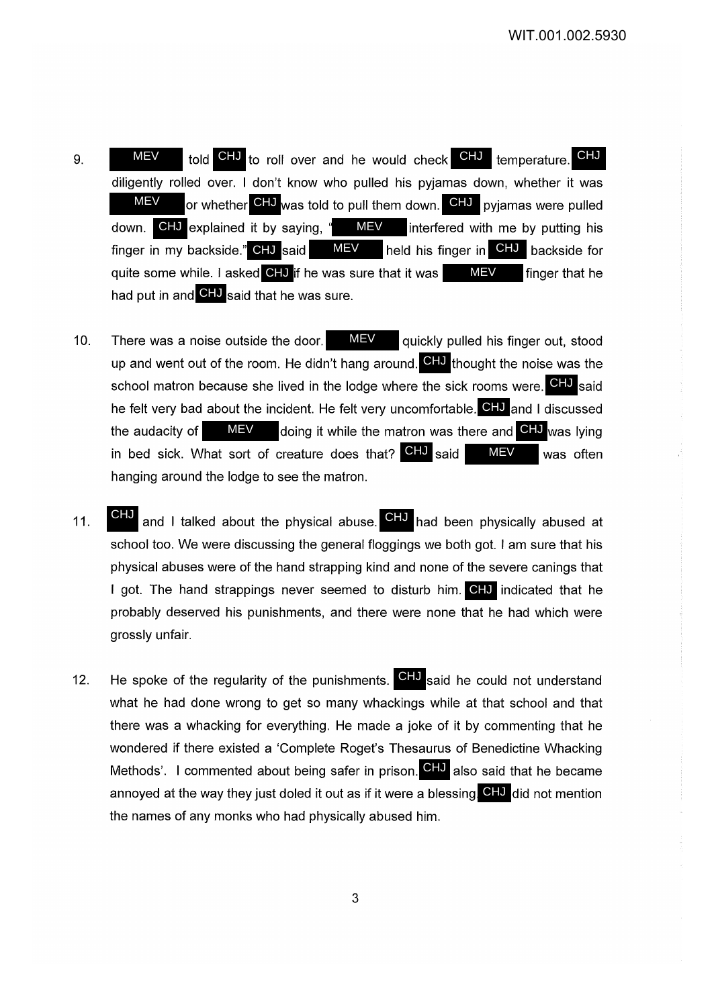- 9. MEV told CHJ to roll over and he would check CHJ temperature. CHJ diligently rolled over. I don't know who pulled his pyjamas down, whether it was or whether CHJ was told to pull them down. CHJ pyjamas were pulled down. CHJ explained it by saying, " MEV interfered with me by putting his finger in my backside." CHJ said MEV held his finger in CHJ backside for quite some while. I asked CHJ if he was sure that it was \_\_\_\_MEV \_\_\_ finger that he had put in and CHJ said that he was sure. finger in my backside." CHJ said MEV **MEV** MEV down. CHJ explained it by saying, " MEV
- 10. There was a noise outside the door. MEV quickly pulled his finger out, stood up and went out of the room. He didn't hang around. CHJ thought the noise was the school matron because she lived in the lodge where the sick rooms were. **CHJ** said he felt very bad about the incident. He felt very uncomfortable. **CHJ** and I discussed the audacity of MEV doing it while the matron was there and CHJ was lying in bed sick. What sort of creature does that? CHJ said MEV was often hanging around the lodge to see the matron. MEV MEV
- 11. **CHJ** and I talked about the physical abuse. CHJ had been physically abused at school too. We were discussing the general floggings we both got. I am sure that his physical abuses were of the hand strapping kind and none of the severe canings that I got. The hand strappings never seemed to disturb him. CHJ indicated that he probably deserved his punishments, and there were none that he had which were grossly unfair. CHJ
- 12. He spoke of the regularity of the punishments.  $\text{CHJ}$  said he could not understand what he had done wrong to get so many whackings while at that school and that there was a whacking for everything. He made a joke of it by commenting that he wondered if there existed a 'Complete Roget's Thesaurus of Benedictine Whacking Methods'. I commented about being safer in prison. CHJ also said that he became annoyed at the way they just doled it out as if it were a blessing. CHJ did not mention the names of any monks who had physically abused him.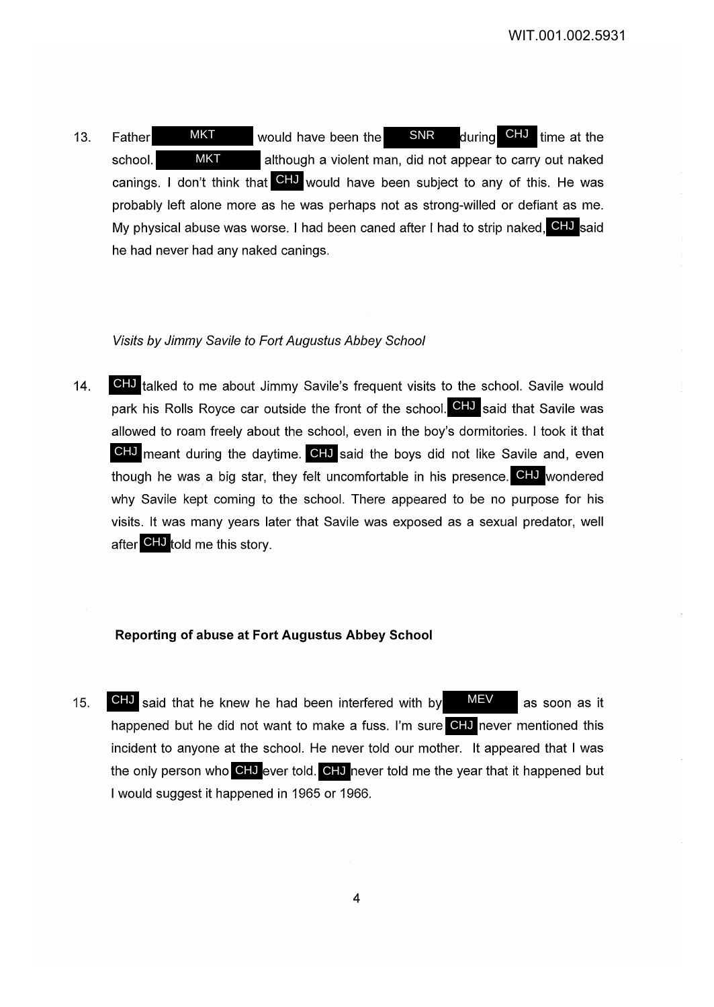13. Father MKT would have been the SNR during CHJ time at the school. **ALTER ALTER MINES ARE:** although a violent man, did not appear to carry out naked canings. I don't think that CHU would have been subject to any of this. He was probably left alone more as he was perhaps not as strong-willed or defiant as me. My physical abuse was worse. I had been caned after I had to strip naked, CHJ said he had never had any naked canings. during CHJ time at the **MKT** MKT

## Visits by Jimmy Savi/e *to* Fort Augustus Abbey School

14. CHJ talked to me about Jimmy Savile's frequent visits to the school. Savile would park his Rolls Royce car outside the front of the school. **CHJ** said that Savile was allowed to roam freely about the school, even in the boy's dormitories. I took it that GHJ meant during the daytime. CHJ said the boys did not like Savile and, even though he was a big star, they felt uncomfortable in his presence. CHJ wondered why Savile kept coming to the school. There appeared to be no purpose for his visits. It was many years later that Savile was exposed as a sexual predator, well after CHJ told me this story.

#### **Reporting of abuse at Fort Augustus Abbey School**

15. **CHJ** said that he knew he had been interfered with by  $MEV$  as soon as it happened but he did not want to make a fuss. I'm sure CHJ never mentioned this incident to anyone at the school. He never told our mother. It appeared that I was the only person who CHJ ever told. CHJ never told me the year that it happened but I would suggest it happened in 1965 or 1966.